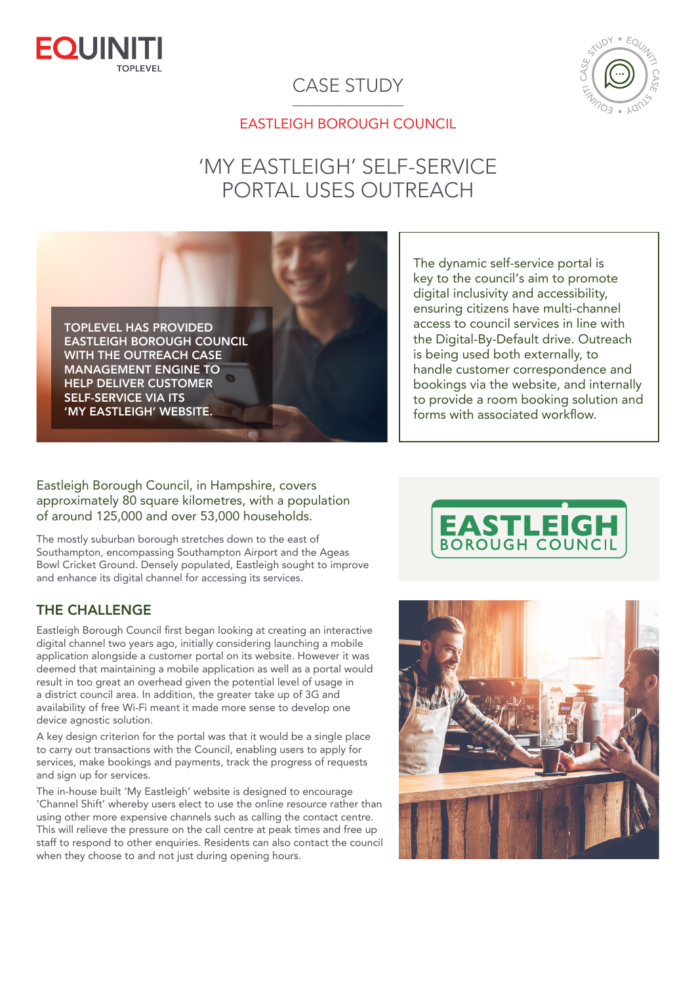

### CASE STUDY



#### EASTLEIGH BOROUGH COUNCIL

# 'MY EASTLEIGH' SELF-SERVICE PORTAL USES OUTREACH

TOPLEVEL HAS PROVIDED EASTLEIGH BOROUGH COUNCIL WITH THE OUTREACH CASE MANAGEMENT ENGINE TO HELP DELIVER CUSTOMER SELF-SERVICE VIA ITS 'MY EASTLEIGH' WEBSITE.

The dynamic self-service portal is key to the council's aim to promote digital inclusivity and accessibility, ensuring citizens have multi-channel access to council services in line with the Digital-By-Default drive. Outreach is being used both externally, to handle customer correspondence and bookings via the website, and internally to provide a room booking solution and forms with associated workflow.

Eastleigh Borough Council, in Hampshire, covers approximately 80 square kilometres, with a population of around 125,000 and over 53,000 households.

The mostly suburban borough stretches down to the east of Southampton, encompassing Southampton Airport and the Ageas Bowl Cricket Ground. Densely populated, Eastleigh sought to improve and enhance its digital channel for accessing its services.

#### THE CHALLENGE

Eastleigh Borough Council first began looking at creating an interactive digital channel two years ago, initially considering launching a mobile application alongside a customer portal on its website. However it was deemed that maintaining a mobile application as well as a portal would result in too great an overhead given the potential level of usage in a district council area. In addition, the greater take up of 3G and availability of free Wi-Fi meant it made more sense to develop one device agnostic solution.

A key design criterion for the portal was that it would be a single place to carry out transactions with the Council, enabling users to apply for services, make bookings and payments, track the progress of requests and sign up for services.

The in-house built 'My Eastleigh' website is designed to encourage 'Channel Shift' whereby users elect to use the online resource rather than using other more expensive channels such as calling the contact centre. This will relieve the pressure on the call centre at peak times and free up staff to respond to other enquiries. Residents can also contact the council when they choose to and not just during opening hours.



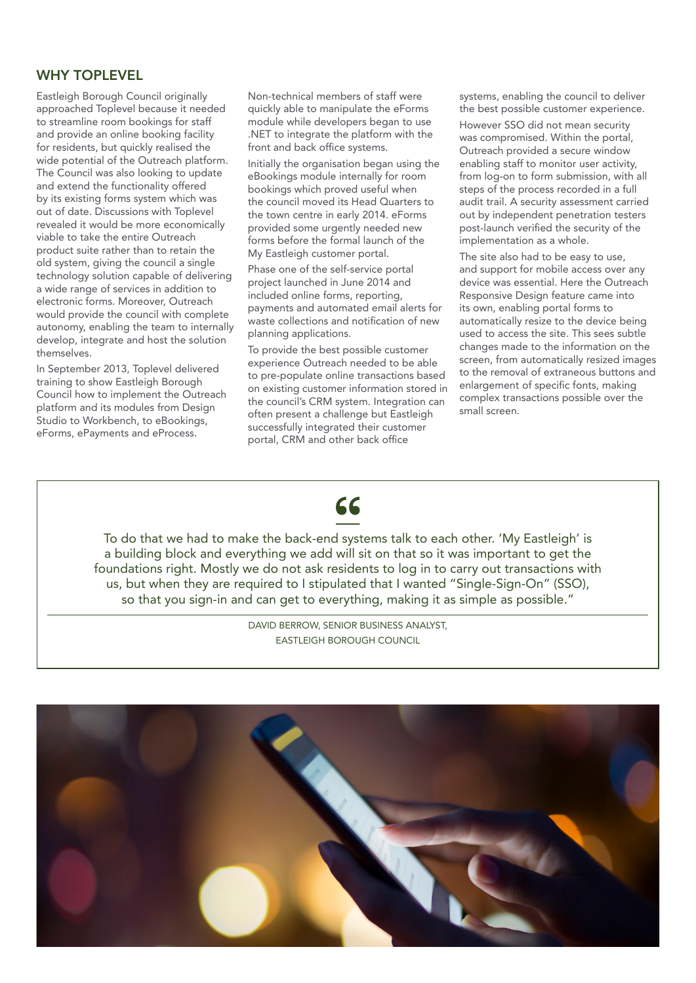#### WHY TOPLEVEL

Eastleigh Borough Council originally approached Toplevel because it needed to streamline room bookings for staff and provide an online booking facility for residents, but quickly realised the wide potential of the Outreach platform. The Council was also looking to update and extend the functionality offered by its existing forms system which was out of date. Discussions with Toplevel revealed it would be more economically viable to take the entire Outreach product suite rather than to retain the old system, giving the council a single technology solution capable of delivering a wide range of services in addition to electronic forms. Moreover, Outreach would provide the council with complete autonomy, enabling the team to internally develop, integrate and host the solution themselves.

In September 2013, Toplevel delivered training to show Eastleigh Borough Council how to implement the Outreach platform and its modules from Design Studio to Workbench, to eBookings, eForms, ePayments and eProcess.

Non-technical members of staff were quickly able to manipulate the eForms module while developers began to use .NET to integrate the platform with the front and back office systems.

Initially the organisation began using the eBookings module internally for room bookings which proved useful when the council moved its Head Quarters to the town centre in early 2014. eForms provided some urgently needed new forms before the formal launch of the My Eastleigh customer portal.

Phase one of the self-service portal project launched in June 2014 and included online forms, reporting, payments and automated email alerts for waste collections and notification of new planning applications.

To provide the best possible customer experience Outreach needed to be able to pre-populate online transactions based on existing customer information stored in the council's CRM system. Integration can often present a challenge but Eastleigh successfully integrated their customer portal, CRM and other back office

systems, enabling the council to deliver the best possible customer experience.

However SSO did not mean security was compromised. Within the portal, Outreach provided a secure window enabling staff to monitor user activity, from log-on to form submission, with all steps of the process recorded in a full audit trail. A security assessment carried out by independent penetration testers post-launch verified the security of the implementation as a whole.

The site also had to be easy to use, and support for mobile access over any device was essential. Here the Outreach Responsive Design feature came into its own, enabling portal forms to automatically resize to the device being used to access the site. This sees subtle changes made to the information on the screen, from automatically resized images to the removal of extraneous buttons and enlargement of specific fonts, making complex transactions possible over the small screen.



To do that we had to make the back-end systems talk to each other. 'My Eastleigh' is a building block and everything we add will sit on that so it was important to get the foundations right. Mostly we do not ask residents to log in to carry out transactions with us, but when they are required to I stipulated that I wanted "Single-Sign-On" (SSO), so that you sign-in and can get to everything, making it as simple as possible."

> DAVID BERROW, SENIOR BUSINESS ANALYST, EASTLEIGH BOROUGH COUNCIL